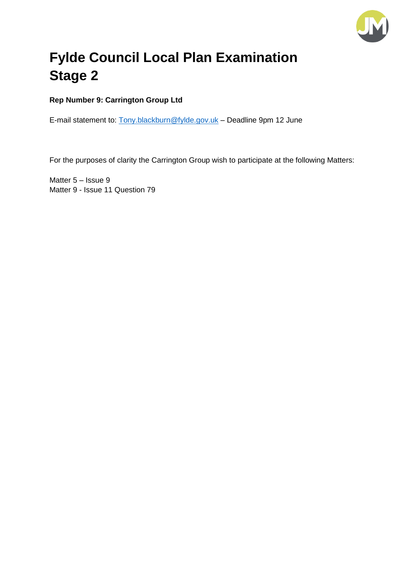

# **Fylde Council Local Plan Examination Stage 2**

## **Rep Number 9: Carrington Group Ltd**

E-mail statement to: [Tony.blackburn@fylde.gov.uk](mailto:Tony.blackburn@fylde.gov.uk) – Deadline 9pm 12 June

For the purposes of clarity the Carrington Group wish to participate at the following Matters:

Matter 5 – Issue 9 Matter 9 - Issue 11 Question 79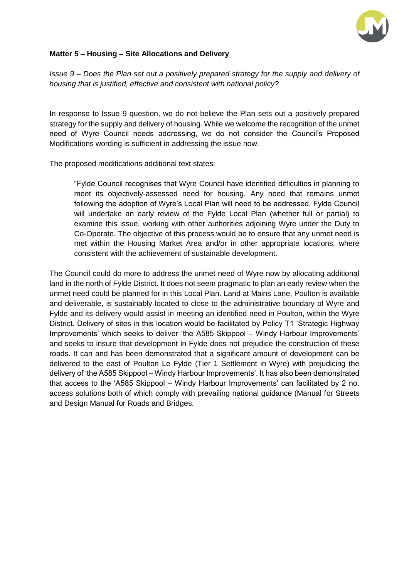

### **Matter 5 – Housing – Site Allocations and Delivery**

*Issue 9 – Does the Plan set out a positively prepared strategy for the supply and delivery of housing that is justified, effective and consistent with national policy?* 

In response to Issue 9 question, we do not believe the Plan sets out a positively prepared strategy for the supply and delivery of housing. While we welcome the recognition of the unmet need of Wyre Council needs addressing, we do not consider the Council's Proposed Modifications wording is sufficient in addressing the issue now.

The proposed modifications additional text states:

"Fylde Council recognises that Wyre Council have identified difficulties in planning to meet its objectively-assessed need for housing. Any need that remains unmet following the adoption of Wyre's Local Plan will need to be addressed. Fylde Council will undertake an early review of the Fylde Local Plan (whether full or partial) to examine this issue, working with other authorities adjoining Wyre under the Duty to Co-Operate. The objective of this process would be to ensure that any unmet need is met within the Housing Market Area and/or in other appropriate locations, where consistent with the achievement of sustainable development.

The Council could do more to address the unmet need of Wyre now by allocating additional land in the north of Fylde District. It does not seem pragmatic to plan an early review when the unmet need could be planned for in this Local Plan. Land at Mains Lane, Poulton is available and deliverable, is sustainably located to close to the administrative boundary of Wyre and Fylde and its delivery would assist in meeting an identified need in Poulton, within the Wyre District. Delivery of sites in this location would be facilitated by Policy T1 'Strategic Highway Improvements' which seeks to deliver 'the A585 Skippool – Windy Harbour Improvements' and seeks to insure that development in Fylde does not prejudice the construction of these roads. It can and has been demonstrated that a significant amount of development can be delivered to the east of Poulton Le Fylde (Tier 1 Settlement in Wyre) with prejudicing the delivery of 'the A585 Skippool – Windy Harbour Improvements'. It has also been demonstrated that access to the 'A585 Skippool – Windy Harbour Improvements' can facilitated by 2 no. access solutions both of which comply with prevailing national guidance (Manual for Streets and Design Manual for Roads and Bridges.